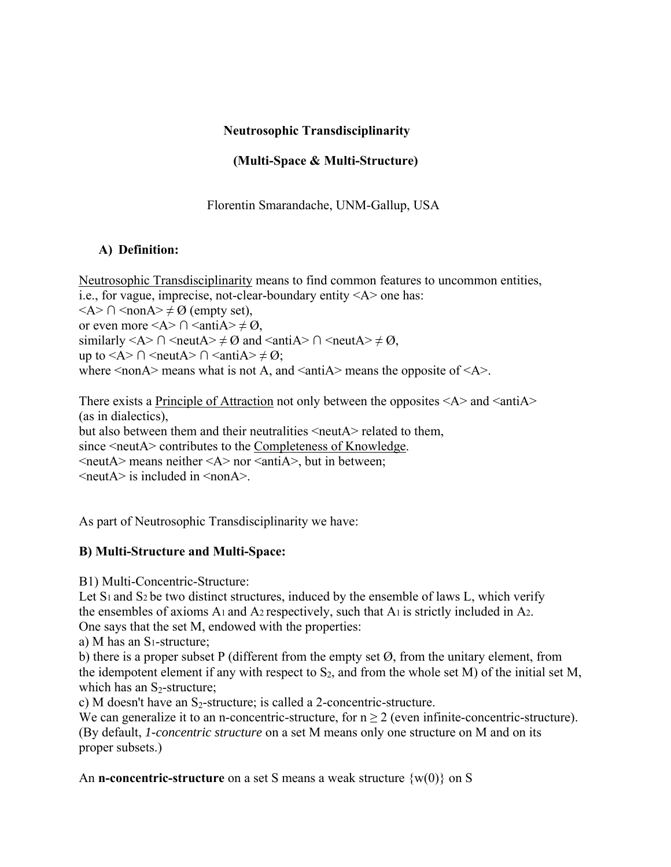### **Neutrosophic Transdisciplinarity**

# **(Multi-Space & Multi-Structure)**

Florentin Smarandache, UNM-Gallup, USA

### **A) Definition:**

Neutrosophic Transdisciplinarity means to find common features to uncommon entities, i.e., for vague, imprecise, not-clear-boundary entity <A> one has:  $\langle A \rangle \cap \langle \text{non} A \rangle \neq \emptyset$  (empty set), or even more <A >  $\cap$  <antiA >  $\neq \emptyset$ , similarly <A>  $\cap$  <neutA>  $\neq \emptyset$  and <antiA>  $\cap$  <neutA>  $\neq \emptyset$ , up to <A>  $\cap$  <neutA>  $\cap$  <antiA>  $\neq \emptyset$ ; where  $\leq$  nonA $\geq$  means what is not A, and  $\leq$  antiA $\geq$  means the opposite of  $\leq$ A $\geq$ .

There exists a <u>Principle of Attraction</u> not only between the opposites  $\langle A \rangle$  and  $\langle \text{anti}A \rangle$ (as in dialectics), but also between them and their neutralities <neutA > related to them, since  $\le$ neutA $\ge$  contributes to the Completeness of Knowledge.  $\le$ neutA $>$  means neither  $\le$ A $>$  nor  $\le$ antiA $>$ , but in between; <neutA> is included in <nonA>.

As part of Neutrosophic Transdisciplinarity we have:

## **B) Multi-Structure and Multi-Space:**

B1) Multi-Concentric-Structure:

Let  $S_1$  and  $S_2$  be two distinct structures, induced by the ensemble of laws L, which verify the ensembles of axioms A1 and A2 respectively, such that A1 is strictly included in A2. One says that the set M, endowed with the properties:

a) M has an S1-structure;

b) there is a proper subset P (different from the empty set  $\varnothing$ , from the unitary element, from the idempotent element if any with respect to  $S_2$ , and from the whole set M) of the initial set M, which has an  $S_2$ -structure;

c) M doesn't have an  $S_2$ -structure; is called a 2-concentric-structure.

We can generalize it to an n-concentric-structure, for  $n \geq 2$  (even infinite-concentric-structure). (By default, *1-concentric structure* on a set M means only one structure on M and on its proper subsets.)

An **n-concentric-structure** on a set S means a weak structure  $\{w(0)\}\$  on S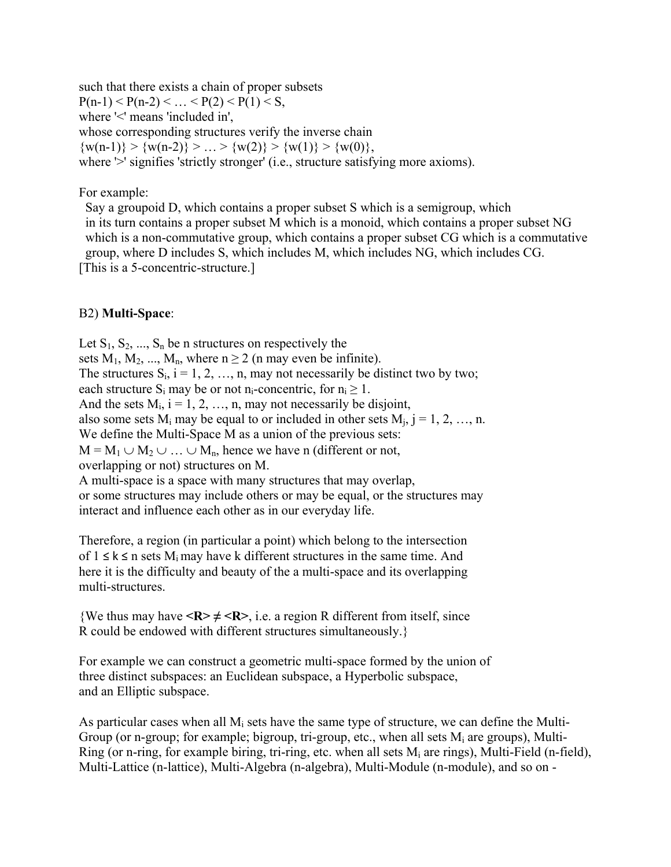such that there exists a chain of proper subsets  $P(n-1) < P(n-2) < ... < P(2) < P(1) < S$ , where '<' means 'included in', whose corresponding structures verify the inverse chain  $\{w(n-1)\} > \{w(n-2)\} > ... > \{w(2)\} > \{w(1)\} > \{w(0)\},$ where '>' signifies 'strictly stronger' (i.e., structure satisfying more axioms).

For example:

 Say a groupoid D, which contains a proper subset S which is a semigroup, which in its turn contains a proper subset M which is a monoid, which contains a proper subset NG which is a non-commutative group, which contains a proper subset CG which is a commutative group, where D includes S, which includes M, which includes NG, which includes CG. [This is a 5-concentric-structure.]

### B2) **Multi-Space**:

Let  $S_1, S_2, ..., S_n$  be n structures on respectively the sets  $M_1, M_2, ..., M_n$ , where  $n \ge 2$  (n may even be infinite). The structures  $S_i$ ,  $i = 1, 2, ..., n$ , may not necessarily be distinct two by two; each structure  $S_i$  may be or not n<sub>i</sub>-concentric, for  $n_i \ge 1$ . And the sets  $M_i$ ,  $i = 1, 2, ..., n$ , may not necessarily be disjoint, also some sets  $M_i$  may be equal to or included in other sets  $M_i$ , j = 1, 2, ..., n. We define the Multi-Space M as a union of the previous sets:  $M = M_1 \cup M_2 \cup ... \cup M_n$ , hence we have n (different or not, overlapping or not) structures on M. A multi-space is a space with many structures that may overlap, or some structures may include others or may be equal, or the structures may

interact and influence each other as in our everyday life.

Therefore, a region (in particular a point) which belong to the intersection of  $1 \le k \le n$  sets  $M_i$  may have k different structures in the same time. And here it is the difficulty and beauty of the a multi-space and its overlapping multi-structures.

{We thus may have  $\langle R \rangle \neq \langle R \rangle$ , i.e. a region R different from itself, since R could be endowed with different structures simultaneously.}

For example we can construct a geometric multi-space formed by the union of three distinct subspaces: an Euclidean subspace, a Hyperbolic subspace, and an Elliptic subspace.

As particular cases when all  $M_i$  sets have the same type of structure, we can define the Multi-Group (or n-group; for example; bigroup, tri-group, etc., when all sets  $M_i$  are groups), Multi-Ring (or n-ring, for example biring, tri-ring, etc. when all sets  $M_i$  are rings), Multi-Field (n-field), Multi-Lattice (n-lattice), Multi-Algebra (n-algebra), Multi-Module (n-module), and so on -